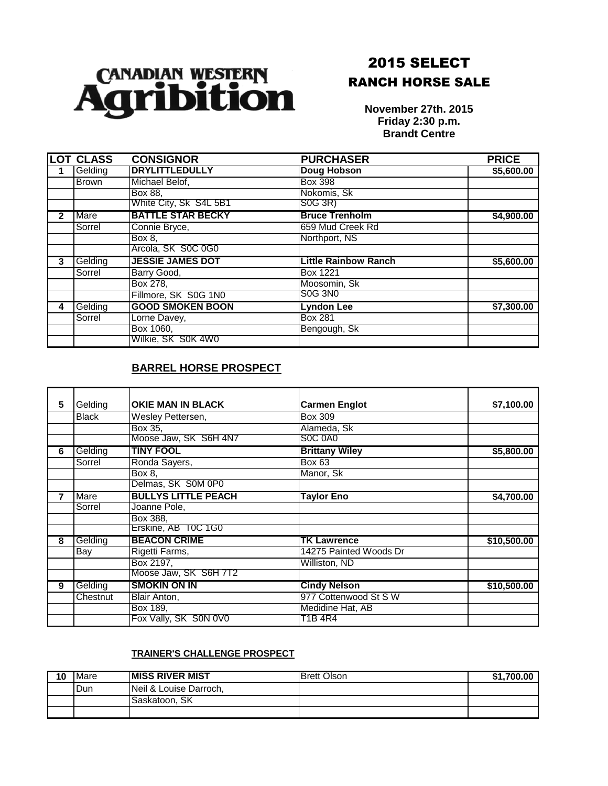

## 2015 SELECT RANCH HORSE SALE

**November 27th. 2015 Friday 2:30 p.m. Brandt Centre**

|   | <b>LOT CLASS</b> | <b>CONSIGNOR</b>         | <b>PURCHASER</b>            | <b>PRICE</b> |
|---|------------------|--------------------------|-----------------------------|--------------|
|   | Gelding          | <b>DRYLITTLEDULLY</b>    | Doug Hobson                 | \$5,600.00   |
|   | Brown            | Michael Belof,           | Box 398                     |              |
|   |                  | Box 88,                  | Nokomis, Sk                 |              |
|   |                  | White City, Sk S4L 5B1   | S0G 3R)                     |              |
| 2 | Mare             | <b>BATTLE STAR BECKY</b> | <b>Bruce Trenholm</b>       | \$4,900.00   |
|   | Sorrel           | Connie Bryce,            | 659 Mud Creek Rd            |              |
|   |                  | Box 8.                   | Northport, NS               |              |
|   |                  | Arcola, SK S0C 0G0       |                             |              |
| 3 | Gelding          | <b>JESSIE JAMES DOT</b>  | <b>Little Rainbow Ranch</b> | \$5,600.00   |
|   | Sorrel           | Barry Good,              | Box 1221                    |              |
|   |                  | Box 278,                 | Moosomin, Sk                |              |
|   |                  | Fillmore, SK S0G 1N0     | <b>SOG 3NO</b>              |              |
| 4 | Gelding          | <b>GOOD SMOKEN BOON</b>  | <b>Lyndon Lee</b>           | \$7,300.00   |
|   | Sorrel           | Lorne Davey,             | <b>Box 281</b>              |              |
|   |                  | Box 1060,                | Bengough, Sk                |              |
|   |                  | Wilkie, SK S0K 4W0       |                             |              |

## **BARREL HORSE PROSPECT**

|   | Gelding      | <b>OKIE MAN IN BLACK</b>   | <b>Carmen Englot</b>   |             |
|---|--------------|----------------------------|------------------------|-------------|
| 5 |              |                            |                        | \$7,100.00  |
|   | <b>Black</b> | Wesley Pettersen,          | Box 309                |             |
|   |              | Box 35,                    | Alameda, Sk            |             |
|   |              | Moose Jaw, SK S6H 4N7      | <b>SOC 0A0</b>         |             |
| 6 | Gelding      | <b>TINY FOOL</b>           | <b>Brittany Wiley</b>  | \$5,800.00  |
|   | Sorrel       | Ronda Sayers,              | <b>Box 63</b>          |             |
|   |              | Box 8,                     | Manor, Sk              |             |
|   |              | Delmas, SK S0M 0P0         |                        |             |
| 7 | Mare         | <b>BULLYS LITTLE PEACH</b> | <b>Taylor Eno</b>      | \$4,700.00  |
|   | Sorrel       | Joanne Pole,               |                        |             |
|   |              | Box 388,                   |                        |             |
|   |              | Erskine, AB T0C 1G0        |                        |             |
| 8 | Gelding      | <b>BEACON CRIME</b>        | <b>TK Lawrence</b>     | \$10,500.00 |
|   | Bay          | Rigetti Farms,             | 14275 Painted Woods Dr |             |
|   |              | Box 2197,                  | Williston, ND          |             |
|   |              | Moose Jaw, SK S6H 7T2      |                        |             |
| 9 | Gelding      | <b>SMOKIN ON IN</b>        | <b>Cindy Nelson</b>    | \$10,500.00 |
|   | Chestnut     | Blair Anton,               | 977 Cottenwood St S W  |             |
|   |              | Box 189,                   | Medidine Hat, AB       |             |
|   |              | Fox Vally, SK S0N 0V0      | T1B 4R4                |             |

## **TRAINER'S CHALLENGE PROSPECT**

| 10 | Mare | <b>IMISS RIVER MIST</b> | <b>IBrett Olson</b> | \$1.700.00 |
|----|------|-------------------------|---------------------|------------|
|    | Dun  | Neil & Louise Darroch,  |                     |            |
|    |      | ISaskatoon. SK          |                     |            |
|    |      |                         |                     |            |